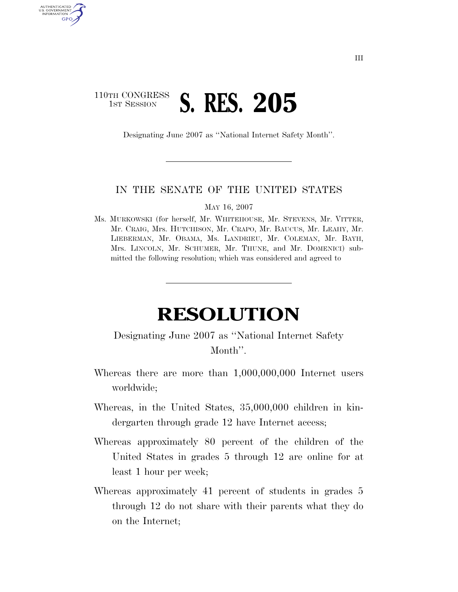## 110TH CONGRESS **1ST SESSION S. RES. 205**

AUTHENTICATED U.S. GOVERNMENT GPO

Designating June 2007 as ''National Internet Safety Month''.

## IN THE SENATE OF THE UNITED STATES

MAY 16, 2007

Ms. MURKOWSKI (for herself, Mr. WHITEHOUSE, Mr. STEVENS, Mr. VITTER, Mr. CRAIG, Mrs. HUTCHISON, Mr. CRAPO, Mr. BAUCUS, Mr. LEAHY, Mr. LIEBERMAN, Mr. OBAMA, Ms. LANDRIEU, Mr. COLEMAN, Mr. BAYH, Mrs. LINCOLN, Mr. SCHUMER, Mr. THUNE, and Mr. DOMENICI) submitted the following resolution; which was considered and agreed to

## **RESOLUTION**

## Designating June 2007 as ''National Internet Safety Month''.

- Whereas there are more than 1,000,000,000 Internet users worldwide;
- Whereas, in the United States, 35,000,000 children in kindergarten through grade 12 have Internet access;
- Whereas approximately 80 percent of the children of the United States in grades 5 through 12 are online for at least 1 hour per week;
- Whereas approximately 41 percent of students in grades 5 through 12 do not share with their parents what they do on the Internet;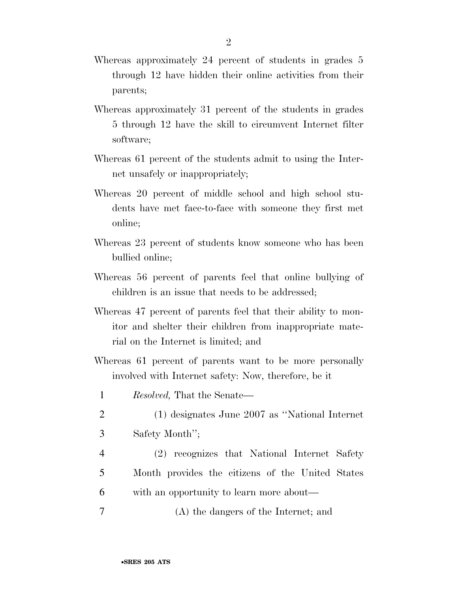- Whereas approximately 24 percent of students in grades 5 through 12 have hidden their online activities from their parents;
- Whereas approximately 31 percent of the students in grades 5 through 12 have the skill to circumvent Internet filter software;
- Whereas 61 percent of the students admit to using the Internet unsafely or inappropriately;
- Whereas 20 percent of middle school and high school students have met face-to-face with someone they first met online;
- Whereas 23 percent of students know someone who has been bullied online;
- Whereas 56 percent of parents feel that online bullying of children is an issue that needs to be addressed;
- Whereas 47 percent of parents feel that their ability to monitor and shelter their children from inappropriate material on the Internet is limited; and
- Whereas 61 percent of parents want to be more personally involved with Internet safety: Now, therefore, be it
- 1 *Resolved,* That the Senate—
- 2 (1) designates June 2007 as ''National Internet 3 Safety Month'';
- 4 (2) recognizes that National Internet Safety 5 Month provides the citizens of the United States 6 with an opportunity to learn more about—
- 7 (A) the dangers of the Internet; and